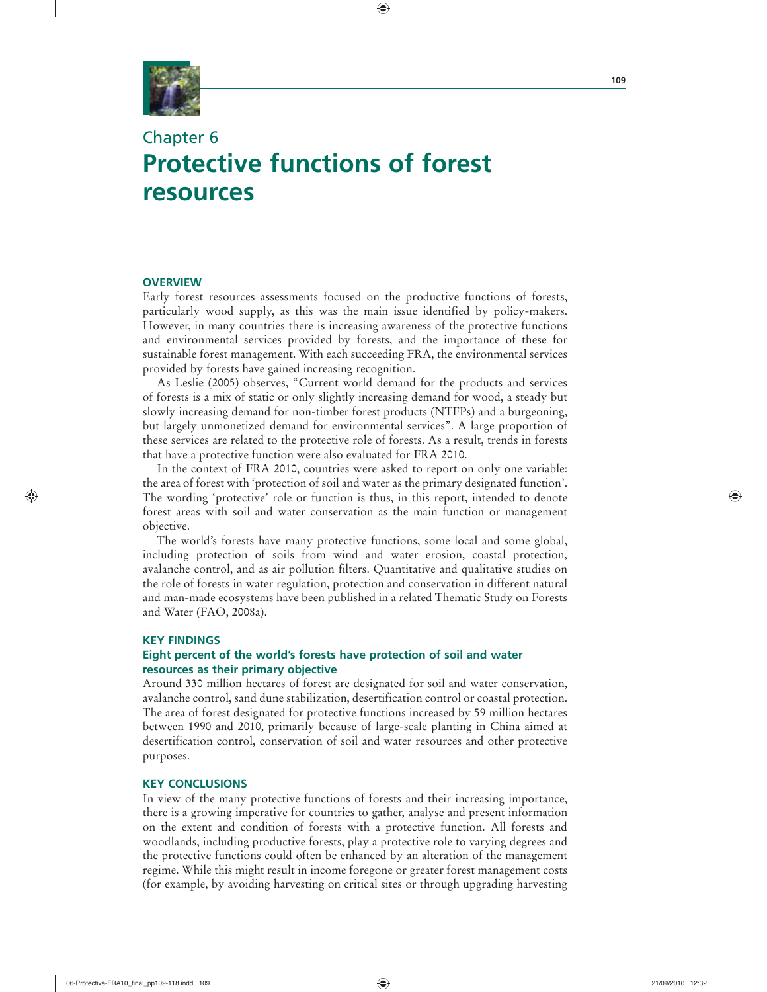

# Chapter 6 **Protective functions of forest resources**

## **OVERVIEW**

Early forest resources assessments focused on the productive functions of forests, particularly wood supply, as this was the main issue identified by policy-makers. However, in many countries there is increasing awareness of the protective functions and environmental services provided by forests, and the importance of these for sustainable forest management. With each succeeding FRA, the environmental services provided by forests have gained increasing recognition.

⊕

As Leslie (2005) observes, "Current world demand for the products and services of forests is a mix of static or only slightly increasing demand for wood, a steady but slowly increasing demand for non-timber forest products (NTFPs) and a burgeoning, but largely unmonetized demand for environmental services". A large proportion of these services are related to the protective role of forests. As a result, trends in forests that have a protective function were also evaluated for FRA 2010.

In the context of FRA 2010, countries were asked to report on only one variable: the area of forest with 'protection of soil and water as the primary designated function'. The wording 'protective' role or function is thus, in this report, intended to denote forest areas with soil and water conservation as the main function or management objective.

The world's forests have many protective functions, some local and some global, including protection of soils from wind and water erosion, coastal protection, avalanche control, and as air pollution filters. Quantitative and qualitative studies on the role of forests in water regulation, protection and conservation in different natural and man-made ecosystems have been published in a related Thematic Study on Forests and Water (FAO, 2008a).

#### **KEY FINDINGS**

# **Eight percent of the world's forests have protection of soil and water resources as their primary objective**

Around 330 million hectares of forest are designated for soil and water conservation, avalanche control, sand dune stabilization, desertification control or coastal protection. The area of forest designated for protective functions increased by 59 million hectares between 1990 and 2010, primarily because of large-scale planting in China aimed at desertification control, conservation of soil and water resources and other protective purposes.

## **KEY CONCLUSIONS**

In view of the many protective functions of forests and their increasing importance, there is a growing imperative for countries to gather, analyse and present information on the extent and condition of forests with a protective function. All forests and woodlands, including productive forests, play a protective role to varying degrees and the protective functions could often be enhanced by an alteration of the management regime. While this might result in income foregone or greater forest management costs (for example, by avoiding harvesting on critical sites or through upgrading harvesting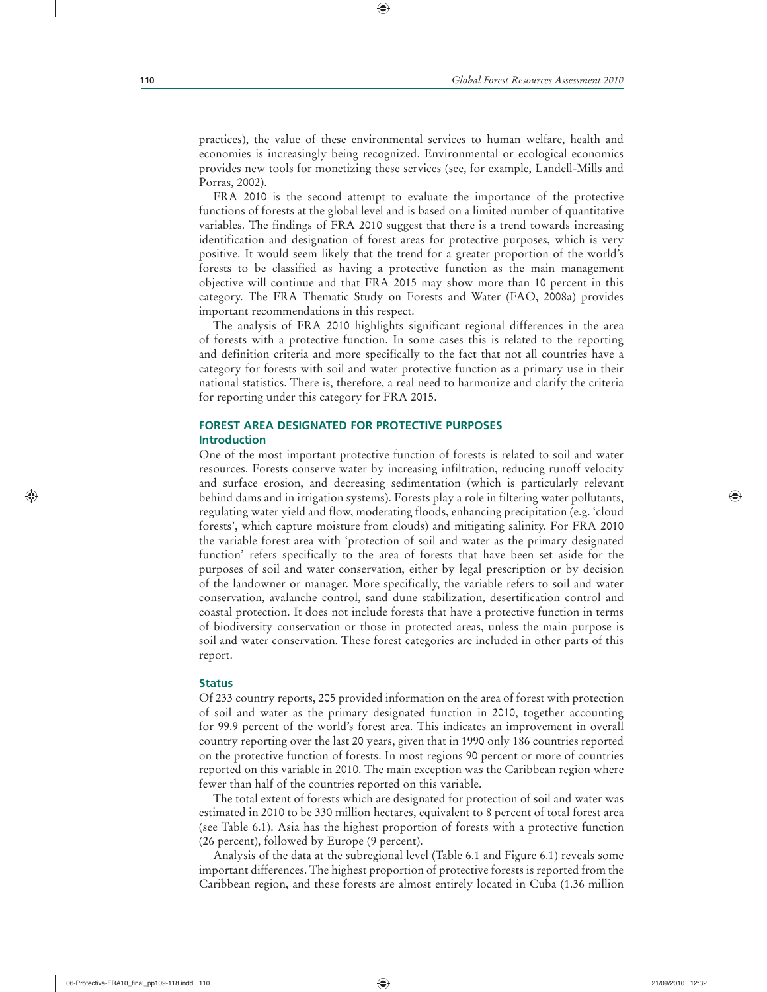practices), the value of these environmental services to human welfare, health and economies is increasingly being recognized. Environmental or ecological economics provides new tools for monetizing these services (see, for example, Landell-Mills and Porras, 2002).

⊕

FRA 2010 is the second attempt to evaluate the importance of the protective functions of forests at the global level and is based on a limited number of quantitative variables. The findings of FRA 2010 suggest that there is a trend towards increasing identification and designation of forest areas for protective purposes, which is very positive. It would seem likely that the trend for a greater proportion of the world's forests to be classified as having a protective function as the main management objective will continue and that FRA 2015 may show more than 10 percent in this category. The FRA Thematic Study on Forests and Water (FAO, 2008a) provides important recommendations in this respect.

The analysis of FRA 2010 highlights significant regional differences in the area of forests with a protective function. In some cases this is related to the reporting and definition criteria and more specifically to the fact that not all countries have a category for forests with soil and water protective function as a primary use in their national statistics. There is, therefore, a real need to harmonize and clarify the criteria for reporting under this category for FRA 2015.

# **FOREST AREA DESIGNATED FOR PROTECTIVE PURPOSES Introduction**

One of the most important protective function of forests is related to soil and water resources. Forests conserve water by increasing infiltration, reducing runoff velocity and surface erosion, and decreasing sedimentation (which is particularly relevant behind dams and in irrigation systems). Forests play a role in filtering water pollutants, regulating water yield and flow, moderating floods, enhancing precipitation (e.g. 'cloud forests', which capture moisture from clouds) and mitigating salinity. For FRA 2010 the variable forest area with 'protection of soil and water as the primary designated function' refers specifically to the area of forests that have been set aside for the purposes of soil and water conservation, either by legal prescription or by decision of the landowner or manager. More specifically, the variable refers to soil and water conservation, avalanche control, sand dune stabilization, desertification control and coastal protection. It does not include forests that have a protective function in terms of biodiversity conservation or those in protected areas, unless the main purpose is soil and water conservation. These forest categories are included in other parts of this report.

### **Status**

Of 233 country reports, 205 provided information on the area of forest with protection of soil and water as the primary designated function in 2010, together accounting for 99.9 percent of the world's forest area. This indicates an improvement in overall country reporting over the last 20 years, given that in 1990 only 186 countries reported on the protective function of forests. In most regions 90 percent or more of countries reported on this variable in 2010. The main exception was the Caribbean region where fewer than half of the countries reported on this variable.

The total extent of forests which are designated for protection of soil and water was estimated in 2010 to be 330 million hectares, equivalent to 8 percent of total forest area (see Table 6.1). Asia has the highest proportion of forests with a protective function (26 percent), followed by Europe (9 percent).

Analysis of the data at the subregional level (Table 6.1 and Figure 6.1) reveals some important differences. The highest proportion of protective forests is reported from the Caribbean region, and these forests are almost entirely located in Cuba (1.36 million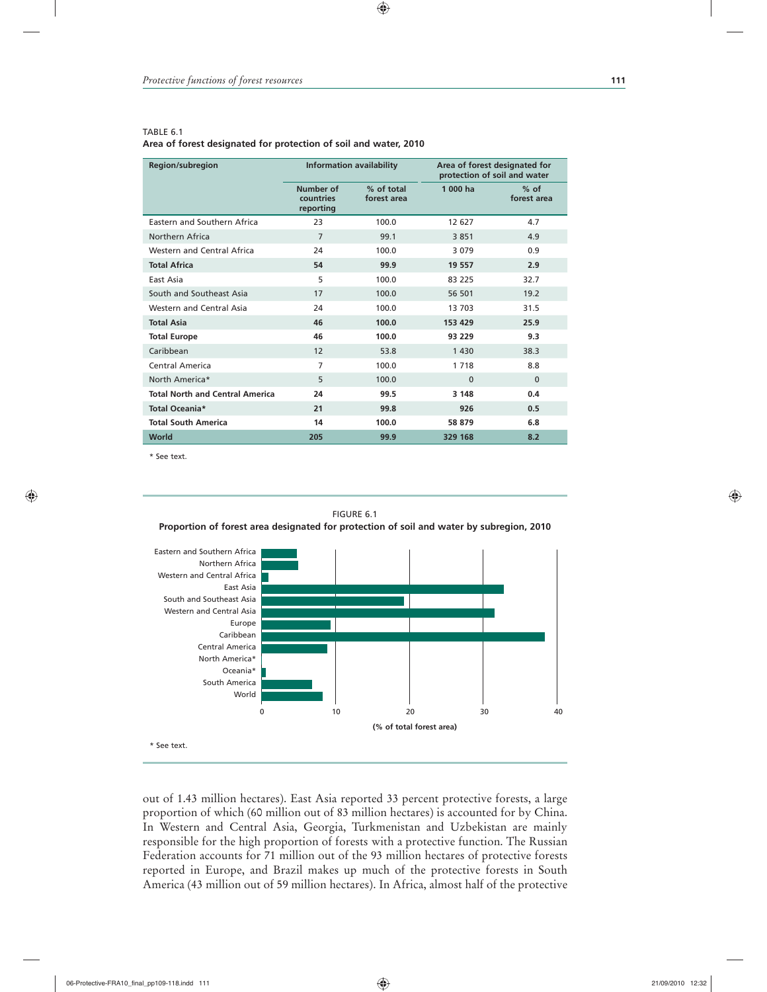#### TABLE 6.1

#### **Area of forest designated for protection of soil and water, 2010**

| <b>Region/subregion</b>                |                                     | <b>Information availability</b> | Area of forest designated for<br>protection of soil and water |                       |  |  |
|----------------------------------------|-------------------------------------|---------------------------------|---------------------------------------------------------------|-----------------------|--|--|
|                                        | Number of<br>countries<br>reporting | % of total<br>forest area       | 1 000 ha                                                      | $%$ of<br>forest area |  |  |
| Eastern and Southern Africa            | 23                                  | 100.0                           | 12 627                                                        | 4.7                   |  |  |
| Northern Africa                        | $\overline{7}$<br>99.1              |                                 | 3851                                                          | 4.9                   |  |  |
| Western and Central Africa             | 24                                  | 100.0                           |                                                               | 0.9                   |  |  |
| <b>Total Africa</b>                    | 54                                  | 99.9                            | 19 557                                                        | 2.9                   |  |  |
| East Asia                              | 5                                   | 100.0                           | 83 225                                                        | 32.7                  |  |  |
| South and Southeast Asia               | 17                                  | 100.0                           | 56 501                                                        | 19.2                  |  |  |
| Western and Central Asia               | 24                                  | 100.0<br>13 703                 |                                                               | 31.5                  |  |  |
| <b>Total Asia</b>                      | 46                                  | 100.0                           | 153 429                                                       | 25.9                  |  |  |
| <b>Total Europe</b>                    | 46                                  | 100.0                           | 93 229                                                        | 9.3                   |  |  |
| Caribbean                              | 12                                  | 53.8                            | 1 4 3 0                                                       | 38.3                  |  |  |
| Central America                        | 7                                   | 100.0                           | 1 7 1 8                                                       | 8.8                   |  |  |
| North America*                         | 5                                   | 100.0                           | $\Omega$                                                      | $\Omega$              |  |  |
| <b>Total North and Central America</b> | 24                                  | 99.5                            | 3 148                                                         | 0.4                   |  |  |
| Total Oceania*                         | 21                                  | 99.8                            | 926                                                           | 0.5                   |  |  |
| <b>Total South America</b>             | 14                                  | 100.0                           | 58 879                                                        | 6.8                   |  |  |
| World                                  | 205                                 | 99.9                            | 329 168                                                       | 8.2                   |  |  |

 $\bigcirc$ 

\* See text.



\* See text.

out of 1.43 million hectares). East Asia reported 33 percent protective forests, a large proportion of which (60 million out of 83 million hectares) is accounted for by China. In Western and Central Asia, Georgia, Turkmenistan and Uzbekistan are mainly responsible for the high proportion of forests with a protective function. The Russian Federation accounts for 71 million out of the 93 million hectares of protective forests reported in Europe, and Brazil makes up much of the protective forests in South America (43 million out of 59 million hectares). In Africa, almost half of the protective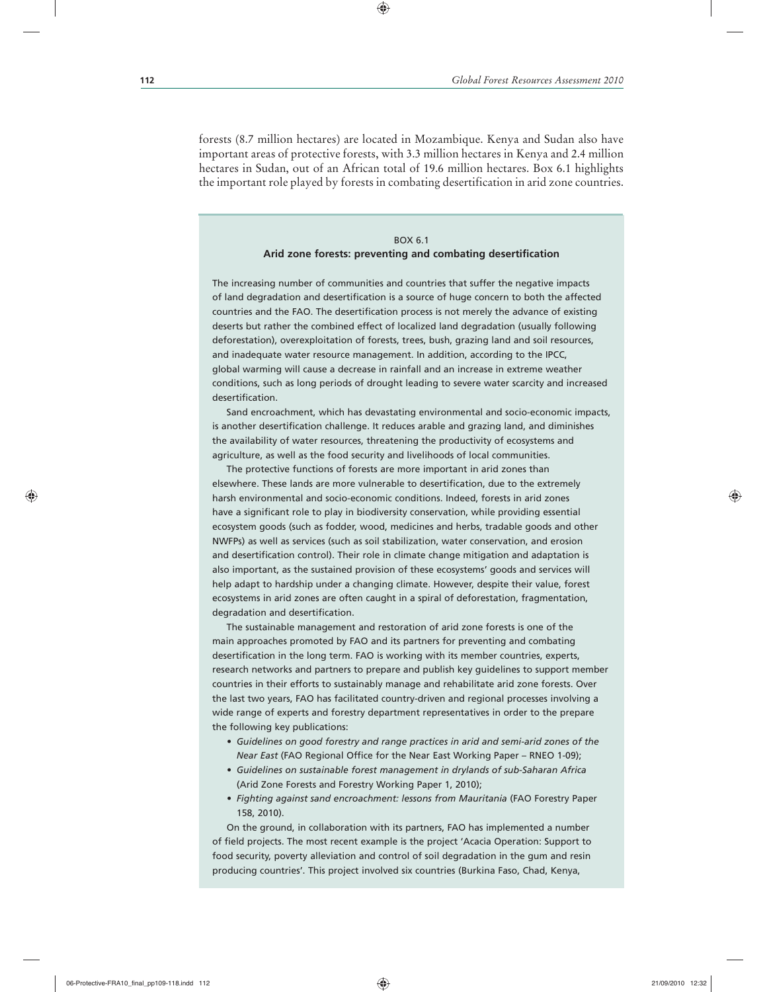forests (8.7 million hectares) are located in Mozambique. Kenya and Sudan also have important areas of protective forests, with 3.3 million hectares in Kenya and 2.4 million hectares in Sudan, out of an African total of 19.6 million hectares. Box 6.1 highlights the important role played by forests in combating desertification in arid zone countries.

 $\textcolor{red}{\textcircled{\footnotesize{1}}\textcolor{blue}{\bullet}}$ 

# BOX 6.1 **Arid zone forests: preventing and combating desertification**

The increasing number of communities and countries that suffer the negative impacts of land degradation and desertification is a source of huge concern to both the affected countries and the FAO. The desertification process is not merely the advance of existing deserts but rather the combined effect of localized land degradation (usually following deforestation), overexploitation of forests, trees, bush, grazing land and soil resources, and inadequate water resource management. In addition, according to the IPCC, global warming will cause a decrease in rainfall and an increase in extreme weather conditions, such as long periods of drought leading to severe water scarcity and increased desertification.

Sand encroachment, which has devastating environmental and socio-economic impacts, is another desertification challenge. It reduces arable and grazing land, and diminishes the availability of water resources, threatening the productivity of ecosystems and agriculture, as well as the food security and livelihoods of local communities.

The protective functions of forests are more important in arid zones than elsewhere. These lands are more vulnerable to desertification, due to the extremely harsh environmental and socio-economic conditions. Indeed, forests in arid zones have a significant role to play in biodiversity conservation, while providing essential ecosystem goods (such as fodder, wood, medicines and herbs, tradable goods and other NWFPs) as well as services (such as soil stabilization, water conservation, and erosion and desertification control). Their role in climate change mitigation and adaptation is also important, as the sustained provision of these ecosystems' goods and services will help adapt to hardship under a changing climate. However, despite their value, forest ecosystems in arid zones are often caught in a spiral of deforestation, fragmentation, degradation and desertification.

The sustainable management and restoration of arid zone forests is one of the main approaches promoted by FAO and its partners for preventing and combating desertification in the long term. FAO is working with its member countries, experts, research networks and partners to prepare and publish key guidelines to support member countries in their efforts to sustainably manage and rehabilitate arid zone forests. Over the last two years, FAO has facilitated country-driven and regional processes involving a wide range of experts and forestry department representatives in order to the prepare the following key publications:

- *Guidelines on good forestry and range practices in arid and semi-arid zones of the Near East* (FAO Regional Office for the Near East Working Paper – RNEO 1-09);
- *Guidelines on sustainable forest management in drylands of sub-Saharan Africa* (Arid Zone Forests and Forestry Working Paper 1, 2010);
- *Fighting against sand encroachment: lessons from Mauritania* (FAO Forestry Paper 158, 2010).

On the ground, in collaboration with its partners, FAO has implemented a number of field projects. The most recent example is the project 'Acacia Operation: Support to food security, poverty alleviation and control of soil degradation in the gum and resin producing countries'. This project involved six countries (Burkina Faso, Chad, Kenya,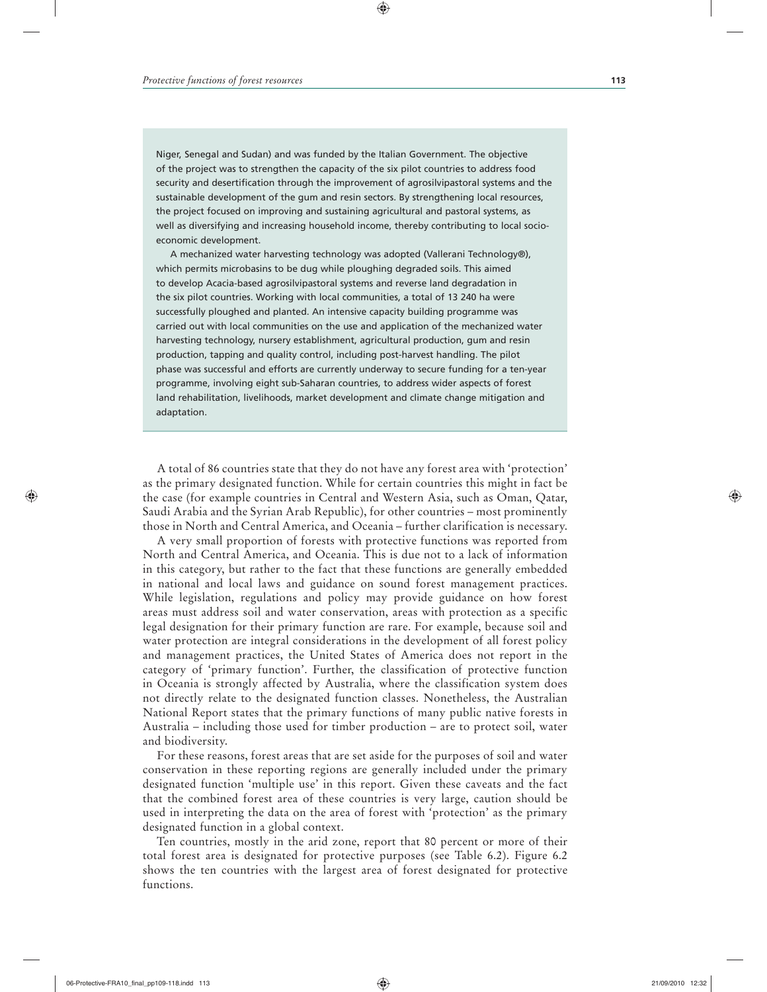Niger, Senegal and Sudan) and was funded by the Italian Government. The objective of the project was to strengthen the capacity of the six pilot countries to address food security and desertification through the improvement of agrosilvipastoral systems and the sustainable development of the gum and resin sectors. By strengthening local resources, the project focused on improving and sustaining agricultural and pastoral systems, as well as diversifying and increasing household income, thereby contributing to local socioeconomic development.

 $\textcolor{red}{\textcircled{\footnotesize{1}}\textcolor{blue}{\bullet}}$ 

A mechanized water harvesting technology was adopted (Vallerani Technology®), which permits microbasins to be dug while ploughing degraded soils. This aimed to develop Acacia-based agrosilvipastoral systems and reverse land degradation in the six pilot countries. Working with local communities, a total of 13 240 ha were successfully ploughed and planted. An intensive capacity building programme was carried out with local communities on the use and application of the mechanized water harvesting technology, nursery establishment, agricultural production, gum and resin production, tapping and quality control, including post-harvest handling. The pilot phase was successful and efforts are currently underway to secure funding for a ten-year programme, involving eight sub-Saharan countries, to address wider aspects of forest land rehabilitation, livelihoods, market development and climate change mitigation and adaptation.

A total of 86 countries state that they do not have any forest area with 'protection' as the primary designated function. While for certain countries this might in fact be the case (for example countries in Central and Western Asia, such as Oman, Qatar, Saudi Arabia and the Syrian Arab Republic), for other countries – most prominently those in North and Central America, and Oceania – further clarification is necessary.

A very small proportion of forests with protective functions was reported from North and Central America, and Oceania. This is due not to a lack of information in this category, but rather to the fact that these functions are generally embedded in national and local laws and guidance on sound forest management practices. While legislation, regulations and policy may provide guidance on how forest areas must address soil and water conservation, areas with protection as a specific legal designation for their primary function are rare. For example, because soil and water protection are integral considerations in the development of all forest policy and management practices, the United States of America does not report in the category of 'primary function'. Further, the classification of protective function in Oceania is strongly affected by Australia, where the classification system does not directly relate to the designated function classes. Nonetheless, the Australian National Report states that the primary functions of many public native forests in Australia – including those used for timber production – are to protect soil, water and biodiversity.

For these reasons, forest areas that are set aside for the purposes of soil and water conservation in these reporting regions are generally included under the primary designated function 'multiple use' in this report. Given these caveats and the fact that the combined forest area of these countries is very large, caution should be used in interpreting the data on the area of forest with 'protection' as the primary designated function in a global context.

Ten countries, mostly in the arid zone, report that 80 percent or more of their total forest area is designated for protective purposes (see Table 6.2). Figure 6.2 shows the ten countries with the largest area of forest designated for protective functions.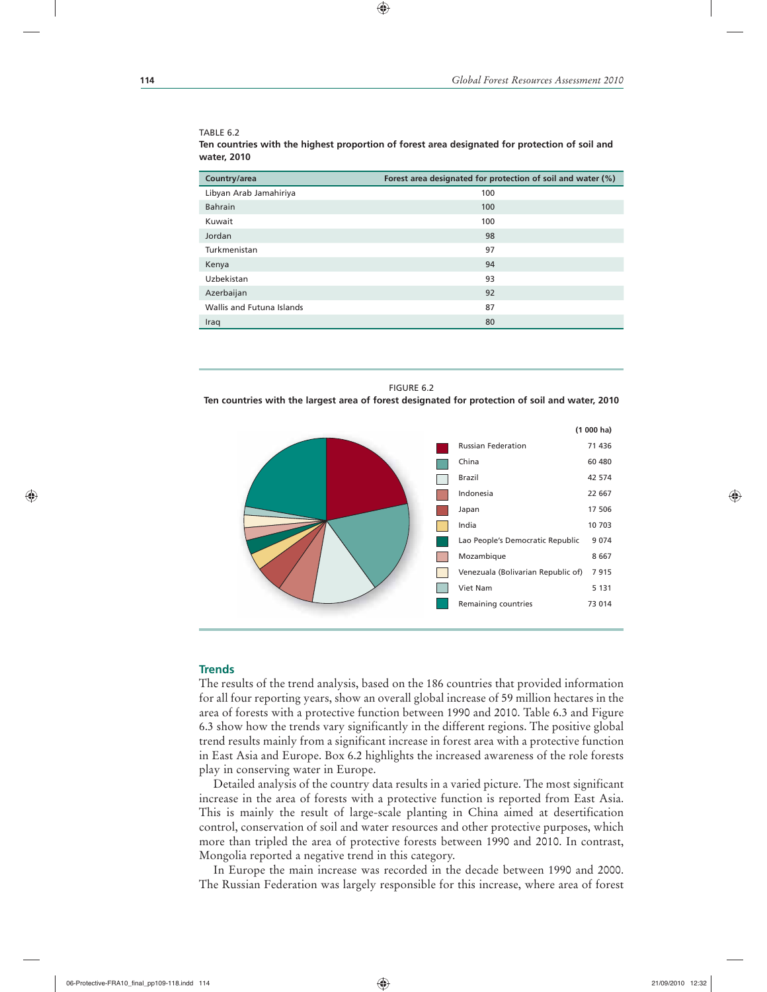#### TABLE 6.2

**Ten countries with the highest proportion of forest area designated for protection of soil and water, 2010**

 $\textcolor{red}{\textcircled{\footnotesize{1}}\textcolor{blue}{\bullet}}$ 

| Country/area              | Forest area designated for protection of soil and water (%) |
|---------------------------|-------------------------------------------------------------|
| Libyan Arab Jamahiriya    | 100                                                         |
| <b>Bahrain</b>            | 100                                                         |
| Kuwait                    | 100                                                         |
| Jordan                    | 98                                                          |
| Turkmenistan              | 97                                                          |
| Kenya                     | 94                                                          |
| Uzbekistan                | 93                                                          |
| Azerbaijan                | 92                                                          |
| Wallis and Futuna Islands | 87                                                          |
| Iraq                      | 80                                                          |
|                           |                                                             |

| FIGURE 6.2                                                                                      |  |
|-------------------------------------------------------------------------------------------------|--|
| Ten countries with the largest area of forest designated for protection of soil and water, 2010 |  |
|                                                                                                 |  |



# **Trends**

The results of the trend analysis, based on the 186 countries that provided information for all four reporting years, show an overall global increase of 59 million hectares in the area of forests with a protective function between 1990 and 2010. Table 6.3 and Figure 6.3 show how the trends vary significantly in the different regions. The positive global trend results mainly from a significant increase in forest area with a protective function in East Asia and Europe. Box 6.2 highlights the increased awareness of the role forests play in conserving water in Europe.

Detailed analysis of the country data results in a varied picture. The most significant increase in the area of forests with a protective function is reported from East Asia. This is mainly the result of large-scale planting in China aimed at desertification control, conservation of soil and water resources and other protective purposes, which more than tripled the area of protective forests between 1990 and 2010. In contrast, Mongolia reported a negative trend in this category.

In Europe the main increase was recorded in the decade between 1990 and 2000. The Russian Federation was largely responsible for this increase, where area of forest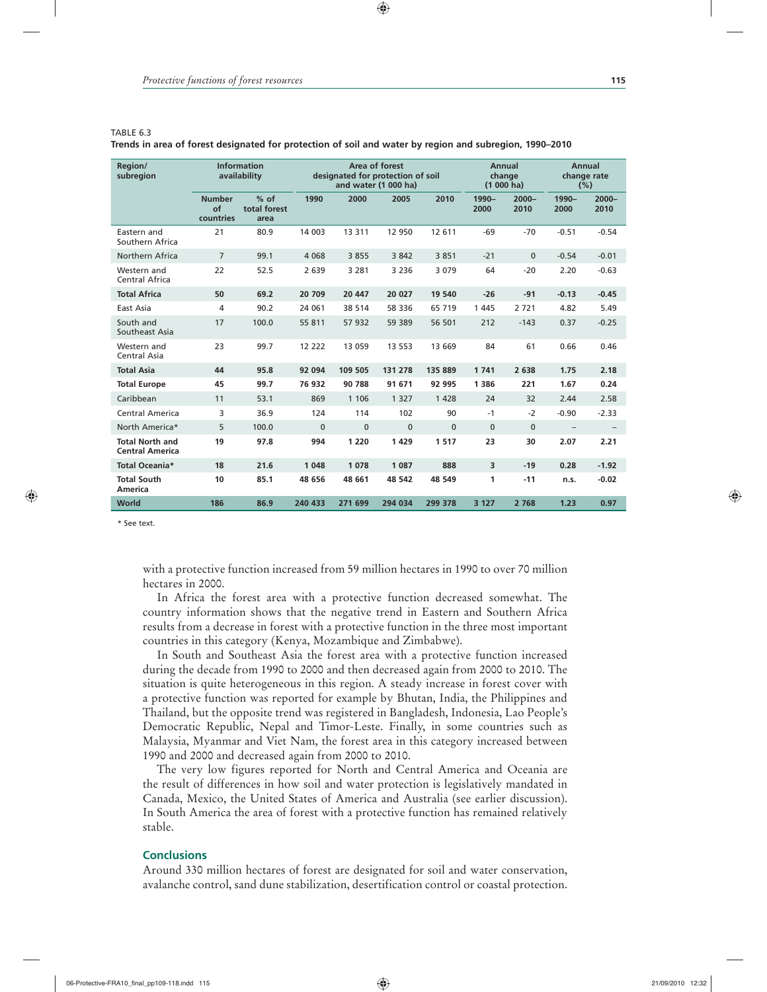#### TABLE 6.3

**Trends in area of forest designated for protection of soil and water by region and subregion, 1990–2010**

 $\textcolor{red}{\textcircled{\footnotesize{1}}\textcolor{blue}{\bullet}}$ 

| Region/<br>subregion                             |                                  | <b>Information</b><br>availability | Area of forest<br>designated for protection of soil<br>and water (1 000 ha) |          |          |              | Annual<br>change<br>$(1000)$ ha) |                  | Annual<br>change rate<br>(%) |                  |
|--------------------------------------------------|----------------------------------|------------------------------------|-----------------------------------------------------------------------------|----------|----------|--------------|----------------------------------|------------------|------------------------------|------------------|
|                                                  | <b>Number</b><br>of<br>countries | $%$ of<br>total forest<br>area     | 1990                                                                        | 2000     | 2005     | 2010         | 1990-<br>2000                    | $2000 -$<br>2010 | 1990-<br>2000                | $2000 -$<br>2010 |
| Eastern and<br>Southern Africa                   | 21                               | 80.9                               | 14 003                                                                      | 13 3 11  | 12 950   | 12 611       | $-69$                            | $-70$            | $-0.51$                      | $-0.54$          |
| Northern Africa                                  | $\overline{7}$                   | 99.1                               | 4 0 6 8                                                                     | 3 8 5 5  | 3 8 4 2  | 3851         | $-21$                            | $\Omega$         | $-0.54$                      | $-0.01$          |
| Western and<br>Central Africa                    | 22                               | 52.5                               | 2 6 3 9                                                                     | 3 2 8 1  | 3 2 3 6  | 3 0 7 9      | 64                               | $-20$            | 2.20                         | $-0.63$          |
| <b>Total Africa</b>                              | 50                               | 69.2                               | 20 709                                                                      | 20 447   | 20 027   | 19 540       | $-26$                            | $-91$            | $-0.13$                      | $-0.45$          |
| East Asia                                        | 4                                | 90.2                               | 24 061                                                                      | 38 514   | 58 336   | 65 719       | 1 4 4 5                          | 2721             | 4.82                         | 5.49             |
| South and<br>Southeast Asia                      | 17                               | 100.0                              | 55 811                                                                      | 57 932   | 59 389   | 56 501       | 212                              | $-143$           | 0.37                         | $-0.25$          |
| Western and<br>Central Asia                      | 23                               | 99.7                               | 12 222                                                                      | 13 059   | 13 5 53  | 13 669       | 84                               | 61               | 0.66                         | 0.46             |
| <b>Total Asia</b>                                | 44                               | 95.8                               | 92 094                                                                      | 109 505  | 131 278  | 135 889      | 1741                             | 2 638            | 1.75                         | 2.18             |
| <b>Total Europe</b>                              | 45                               | 99.7                               | 76 932                                                                      | 90 788   | 91 671   | 92 995       | 1 3 8 6                          | 221              | 1.67                         | 0.24             |
| Caribbean                                        | 11                               | 53.1                               | 869                                                                         | 1 1 0 6  | 1 3 2 7  | 1 4 2 8      | 24                               | 32               | 2.44                         | 2.58             |
| Central America                                  | 3                                | 36.9                               | 124                                                                         | 114      | 102      | 90           | $-1$                             | $-2$             | $-0.90$                      | $-2.33$          |
| North America*                                   | 5                                | 100.0                              | $\Omega$                                                                    | $\Omega$ | $\Omega$ | $\mathbf{0}$ | $\mathbf{0}$                     | $\Omega$         | $\overline{\phantom{0}}$     |                  |
| <b>Total North and</b><br><b>Central America</b> | 19                               | 97.8                               | 994                                                                         | 1 2 2 0  | 1429     | 1517         | 23                               | 30               | 2.07                         | 2.21             |
| Total Oceania*                                   | 18                               | 21.6                               | 1 0 4 8                                                                     | 1 0 7 8  | 1 0 8 7  | 888          | 3                                | $-19$            | 0.28                         | $-1.92$          |
| <b>Total South</b><br>America                    | 10                               | 85.1                               | 48 656                                                                      | 48 661   | 48 542   | 48 549       | 1                                | $-11$            | n.s.                         | $-0.02$          |
| World                                            | 186                              | 86.9                               | 240 433                                                                     | 271 699  | 294 034  | 299 378      | 3 1 2 7                          | 2 7 6 8          | 1.23                         | 0.97             |

\* See text.

with a protective function increased from 59 million hectares in 1990 to over 70 million hectares in 2000.

In Africa the forest area with a protective function decreased somewhat. The country information shows that the negative trend in Eastern and Southern Africa results from a decrease in forest with a protective function in the three most important countries in this category (Kenya, Mozambique and Zimbabwe).

In South and Southeast Asia the forest area with a protective function increased during the decade from 1990 to 2000 and then decreased again from 2000 to 2010. The situation is quite heterogeneous in this region. A steady increase in forest cover with a protective function was reported for example by Bhutan, India, the Philippines and Thailand, but the opposite trend was registered in Bangladesh, Indonesia, Lao People's Democratic Republic, Nepal and Timor-Leste. Finally, in some countries such as Malaysia, Myanmar and Viet Nam, the forest area in this category increased between 1990 and 2000 and decreased again from 2000 to 2010.

The very low figures reported for North and Central America and Oceania are the result of differences in how soil and water protection is legislatively mandated in Canada, Mexico, the United States of America and Australia (see earlier discussion). In South America the area of forest with a protective function has remained relatively stable.

## **Conclusions**

Around 330 million hectares of forest are designated for soil and water conservation, avalanche control, sand dune stabilization, desertification control or coastal protection.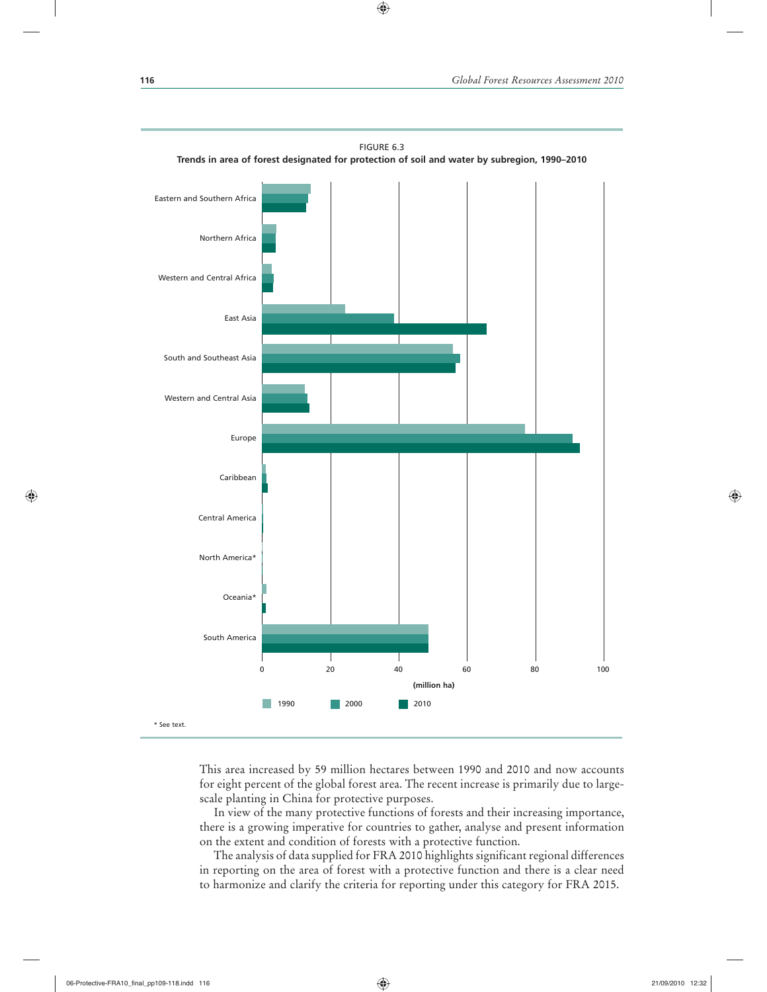

FIGURE 6.3

 $\textcolor{red}{\textcircled{\footnotesize{1}}\textcolor{blue}{\bullet}}$ 

This area increased by 59 million hectares between 1990 and 2010 and now accounts for eight percent of the global forest area. The recent increase is primarily due to largescale planting in China for protective purposes.

In view of the many protective functions of forests and their increasing importance, there is a growing imperative for countries to gather, analyse and present information on the extent and condition of forests with a protective function.

The analysis of data supplied for FRA 2010 highlights significant regional differences in reporting on the area of forest with a protective function and there is a clear need to harmonize and clarify the criteria for reporting under this category for FRA 2015.